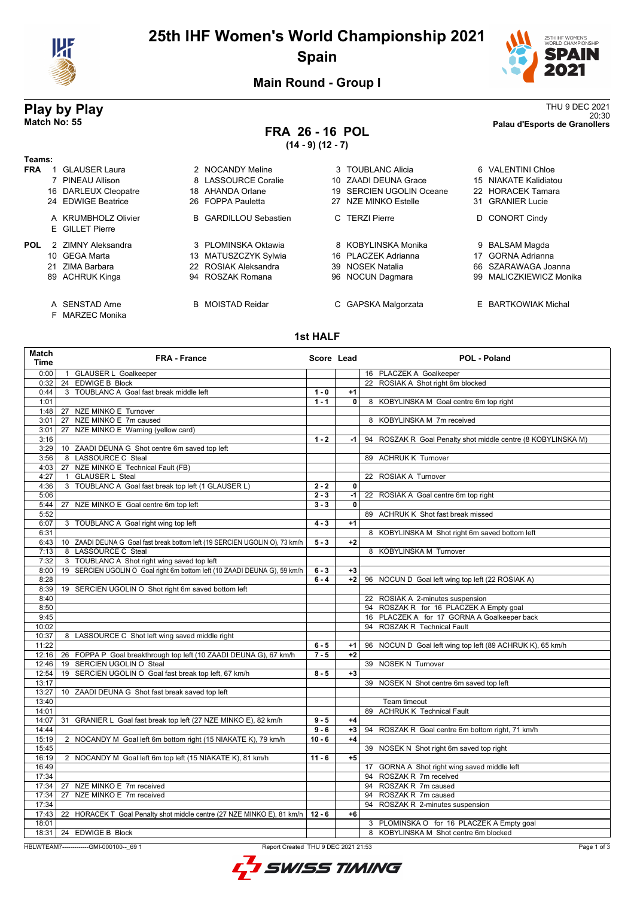

# **25th IHF Women's World Championship 2021 Spain**



**Main Round - Group I**

# **FRA 26 - 16 POL**

**(14 - 9) (12 - 7)**

**Play by Play**<br>Match No: 55<br>Palau d'Esports de Granollers<br>Palau d'Esports de Granollers 20:30 **Match No: 55 Palau d'Esports de Granollers**

| Teams:     |                                                                                 |                                                                                         |                                                                                               |                                                                                                     |
|------------|---------------------------------------------------------------------------------|-----------------------------------------------------------------------------------------|-----------------------------------------------------------------------------------------------|-----------------------------------------------------------------------------------------------------|
| <b>FRA</b> | GLAUSER Laura<br>7 PINEAU Allison<br>16 DARLEUX Cleopatre<br>24 EDWIGE Beatrice | 2 NOCANDY Meline<br>8 LASSOURCE Coralie<br>18 AHANDA Orlane<br>26 FOPPA Pauletta        | 3 TOUBLANC Alicia<br>10 ZAADI DEUNA Grace<br>19 SERCIEN UGOLIN Oceane<br>27 NZE MINKO Estelle | 6 VALENTINI Chloe<br>15 NIAKATE Kalidiatou<br>22 HORACEK Tamara<br>31 GRANIER Lucie                 |
|            | A KRUMBHOLZ Olivier<br>E GILLET Pierre                                          | <b>B</b> GARDILLOU Sebastien                                                            | C TERZI Pierre                                                                                | D CONORT Cindy                                                                                      |
| <b>POL</b> | 2 ZIMNY Aleksandra<br>10 GEGA Marta<br>21 ZIMA Barbara<br>89 ACHRUK Kinga       | 3 PLOMINSKA Oktawia<br>13 MATUSZCZYK Sylwia<br>22 ROSIAK Aleksandra<br>94 ROSZAK Romana | 8 KOBYLINSKA Monika<br>16 PLACZEK Adrianna<br>39 NOSEK Natalia<br>96 NOCUN Dagmara            | 9 BALSAM Magda<br>GORNA Adrianna<br>17<br>66 SZARAWAGA Joanna<br><b>MALICZKIEWICZ Monika</b><br>99. |
|            | A SENSTAD Arne<br>F MARZEC Monika                                               | <b>B</b> MOISTAD Reidar                                                                 | C GAPSKA Malgorzata                                                                           | E BARTKOWIAK Michal                                                                                 |

## **1st HALF**

| Match<br><b>Time</b> | FRA - France                                                                | Score Lead |      | POL - Poland                                                 |
|----------------------|-----------------------------------------------------------------------------|------------|------|--------------------------------------------------------------|
| 0:00                 | 1 GLAUSER L Goalkeeper                                                      |            |      | 16 PLACZEK A Goalkeeper                                      |
| 0:32                 | 24 EDWIGE B Block                                                           |            |      | 22 ROSIAK A Shot right 6m blocked                            |
| 0:44                 | 3 TOUBLANC A Goal fast break middle left                                    | $1 - 0$    | $+1$ |                                                              |
| 1:01                 |                                                                             | $1 - 1$    | 0    | 8 KOBYLINSKA M Goal centre 6m top right                      |
| 1:48                 | 27 NZE MINKO E Turnover                                                     |            |      |                                                              |
| 3:01                 | 27 NZE MINKO E 7m caused                                                    |            |      | 8 KOBYLINSKA M 7m received                                   |
| 3:01                 | 27 NZE MINKO E Warning (yellow card)                                        |            |      |                                                              |
| 3:16                 |                                                                             | $1 - 2$    | -1   | 94 ROSZAK R Goal Penalty shot middle centre (8 KOBYLINSKA M) |
| 3:29                 | 10 ZAADI DEUNA G Shot centre 6m saved top left                              |            |      |                                                              |
| 3:56                 | 8 LASSOURCE C Steal                                                         |            |      | 89 ACHRUK K Turnover                                         |
| 4:03                 | 27 NZE MINKO E Technical Fault (FB)                                         |            |      |                                                              |
| 4:27                 | 1 GLAUSER L Steal                                                           |            |      | 22 ROSIAK A Turnover                                         |
| 4:36                 | 3 TOUBLANC A Goal fast break top left (1 GLAUSER L)                         | $2 - 2$    | 0    |                                                              |
| 5:06                 |                                                                             | $2 - 3$    |      | -1   22 ROSIAK A Goal centre 6m top right                    |
| 5:44                 | 27 NZE MINKO E Goal centre 6m top left                                      | $3 - 3$    | 0    |                                                              |
| 5:52                 |                                                                             |            |      | 89 ACHRUK K Shot fast break missed                           |
| 6:07                 | 3 TOUBLANC A Goal right wing top left                                       | $4 - 3$    | $+1$ |                                                              |
| 6:31                 |                                                                             |            |      | 8 KOBYLINSKA M Shot right 6m saved bottom left               |
| 6:43                 | 10 ZAADI DEUNA G Goal fast break bottom left (19 SERCIEN UGOLIN O), 73 km/h | $5 - 3$    | $+2$ |                                                              |
| 7:13                 | 8 LASSOURCE C Steal                                                         |            |      | 8 KOBYLINSKA M Turnover                                      |
| 7:32                 | 3 TOUBLANC A Shot right wing saved top left                                 |            |      |                                                              |
| 8:00                 | 19 SERCIEN UGOLIN O Goal right 6m bottom left (10 ZAADI DEUNA G), 59 km/h   | $6 - 3$    | $+3$ |                                                              |
| 8:28                 |                                                                             | $6 - 4$    | +2   | 96 NOCUN D Goal left wing top left (22 ROSIAK A)             |
| 8:39                 | 19 SERCIEN UGOLIN O Shot right 6m saved bottom left                         |            |      |                                                              |
| 8:40                 |                                                                             |            |      | 22 ROSIAK A 2-minutes suspension                             |
| 8:50                 |                                                                             |            |      | 94 ROSZAK R for 16 PLACZEK A Empty goal                      |
| 9:45                 |                                                                             |            |      | 16 PLACZEK A for 17 GORNA A Goalkeeper back                  |
| 10:02                |                                                                             |            |      | 94 ROSZAK R Technical Fault                                  |
| 10:37                | 8 LASSOURCE C Shot left wing saved middle right                             |            |      |                                                              |
| 11:22                |                                                                             | $6 - 5$    | $+1$ | 96 NOCUN D Goal left wing top left (89 ACHRUK K), 65 km/h    |
| 12:16                | 26 FOPPA P Goal breakthrough top left (10 ZAADI DEUNA G), 67 km/h           | $7 - 5$    | $+2$ |                                                              |
| 12:46                | 19 SERCIEN UGOLIN O Steal                                                   |            |      | 39 NOSEK N Turnover                                          |
| 12:54                | 19 SERCIEN UGOLIN O Goal fast break top left, 67 km/h                       | $8 - 5$    | $+3$ |                                                              |
| 13:17                |                                                                             |            |      | 39 NOSEK N Shot centre 6m saved top left                     |
| 13:27                | 10 ZAADI DEUNA G Shot fast break saved top left                             |            |      |                                                              |
| 13:40                |                                                                             |            |      | Team timeout                                                 |
| 14:01                |                                                                             |            |      | 89 ACHRUK K Technical Fault                                  |
| 14:07                | 31 GRANIER L Goal fast break top left (27 NZE MINKO E), 82 km/h             | $9 - 5$    | $+4$ |                                                              |
| 14:44                |                                                                             | $9 - 6$    | $+3$ | 94 ROSZAK R Goal centre 6m bottom right, 71 km/h             |
| 15:19                | 2 NOCANDY M Goal left 6m bottom right (15 NIAKATE K), 79 km/h               | $10 - 6$   | $+4$ |                                                              |
| 15:45                |                                                                             |            |      | 39 NOSEK N Shot right 6m saved top right                     |
| 16:19                | 2 NOCANDY M Goal left 6m top left (15 NIAKATE K), 81 km/h                   | $11 - 6$   | $+5$ |                                                              |
| 16:49                |                                                                             |            |      | 17 GORNA A Shot right wing saved middle left                 |
| 17:34                |                                                                             |            |      | 94 ROSZAK R 7m received                                      |
| 17:34                | 27 NZE MINKO E 7m received                                                  |            |      | 94 ROSZAK R 7m caused                                        |
| 17:34                | 27 NZE MINKO E 7m received                                                  |            |      | 94 ROSZAK R 7m caused                                        |
| 17:34                |                                                                             |            |      | 94 ROSZAK R 2-minutes suspension                             |
| 17:43                | 22 HORACEK T Goal Penalty shot middle centre (27 NZE MINKO E), 81 km/h      | $12 - 6$   | $+6$ |                                                              |
| 18:01                |                                                                             |            |      | 3 PLOMINSKA O for 16 PLACZEK A Empty goal                    |
| 18:31                | 24 EDWIGE B Block                                                           |            |      | 8 KOBYLINSKA M Shot centre 6m blocked                        |

HBLWTEAM7--------------GMI-000100--\_69 1 Report Created THU 9 DEC 2021 21:53

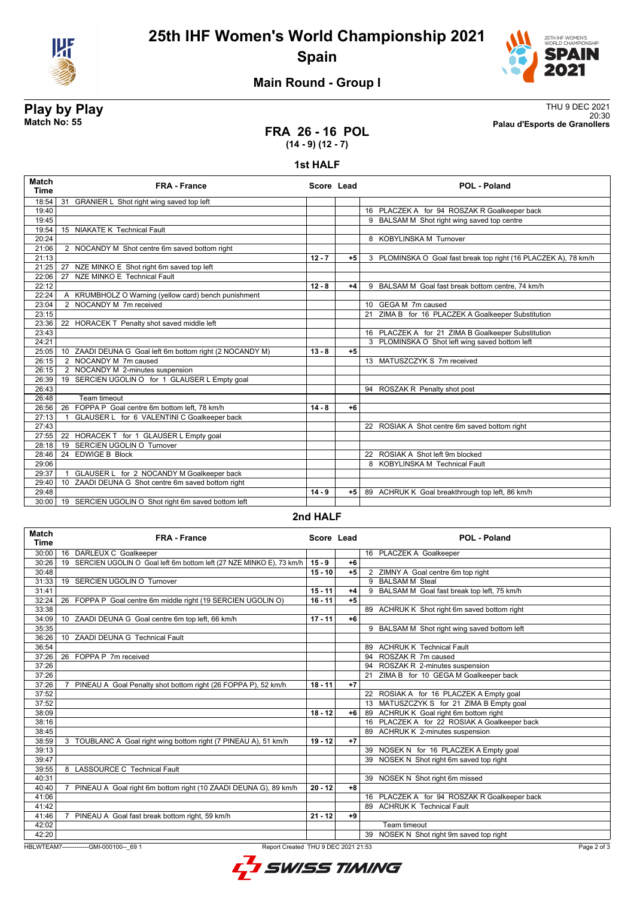



## **Main Round - Group I**

**Play by Play**<br>Match No: 55<br>Palau d'Esports de Granollers<br>Palau d'Esports de Granollers

# 20:30 **Match No: 55 Palau d'Esports de Granollers**

## **FRA 26 - 16 POL (14 - 9) (12 - 7)**

### **1st HALF**

| <b>Match</b><br><b>Time</b> | <b>FRA - France</b>                                                | Score Lead |      | <b>POL - Poland</b>                                             |
|-----------------------------|--------------------------------------------------------------------|------------|------|-----------------------------------------------------------------|
| 18:54                       | 31<br>GRANIER L Shot right wing saved top left                     |            |      |                                                                 |
| 19:40                       |                                                                    |            |      | 16 PLACZEK A for 94 ROSZAK R Goalkeeper back                    |
| 19:45                       |                                                                    |            |      | 9 BALSAM M Shot right wing saved top centre                     |
| 19:54                       | 15 NIAKATE K Technical Fault                                       |            |      |                                                                 |
| 20:24                       |                                                                    |            |      | 8 KOBYLINSKA M Turnover                                         |
| 21:06                       | 2 NOCANDY M Shot centre 6m saved bottom right                      |            |      |                                                                 |
| 21:13                       |                                                                    | $12 - 7$   | $+5$ | 3 PLOMINSKA O Goal fast break top right (16 PLACZEK A), 78 km/h |
| 21:25                       | 27 NZE MINKO E Shot right 6m saved top left                        |            |      |                                                                 |
| 22:06                       | 27 NZE MINKO E Technical Fault                                     |            |      |                                                                 |
| 22:12                       |                                                                    | $12 - 8$   | $+4$ | 9 BALSAM M Goal fast break bottom centre, 74 km/h               |
| 22:24                       | A KRUMBHOLZ O Warning (yellow card) bench punishment               |            |      |                                                                 |
| 23:04                       | 2 NOCANDY M 7m received                                            |            |      | 10 GEGA M 7m caused                                             |
| 23:15                       |                                                                    |            |      | 21 ZIMA B for 16 PLACZEK A Goalkeeper Substitution              |
| 23:36                       | 22 HORACEK T Penalty shot saved middle left                        |            |      |                                                                 |
| 23:43                       |                                                                    |            |      | 16 PLACZEK A for 21 ZIMA B Goalkeeper Substitution              |
| 24:21                       |                                                                    |            |      | 3 PLOMINSKA O Shot left wing saved bottom left                  |
| 25:05                       | 10 ZAADI DEUNA G Goal left 6m bottom right (2 NOCANDY M)           | $13 - 8$   | $+5$ |                                                                 |
| 26:15                       | 2 NOCANDY M 7m caused                                              |            |      | 13 MATUSZCZYK S 7m received                                     |
| 26:15                       | 2 NOCANDY M 2-minutes suspension                                   |            |      |                                                                 |
| 26:39                       | 19 SERCIEN UGOLIN O for 1 GLAUSER L Empty goal                     |            |      |                                                                 |
| 26:43                       |                                                                    |            |      | 94 ROSZAK R Penalty shot post                                   |
| 26:48                       | Team timeout                                                       |            |      |                                                                 |
| 26:56                       | FOPPA P Goal centre 6m bottom left. 78 km/h<br>26                  | $14 - 8$   | $+6$ |                                                                 |
| 27:13                       | GLAUSER L for 6 VALENTINI C Goalkeeper back                        |            |      |                                                                 |
| 27:43                       |                                                                    |            |      | 22 ROSIAK A Shot centre 6m saved bottom right                   |
| 27:55                       | 22 HORACEK T for 1 GLAUSER L Empty goal                            |            |      |                                                                 |
| 28:18                       | 19 SERCIEN UGOLIN O Turnover                                       |            |      |                                                                 |
| 28:46                       | 24 EDWIGE B Block                                                  |            |      | 22 ROSIAK A Shot left 9m blocked                                |
| 29:06                       |                                                                    |            |      | 8 KOBYLINSKA M Technical Fault                                  |
| 29:37                       | GLAUSER L for 2 NOCANDY M Goalkeeper back                          |            |      |                                                                 |
| 29:40                       | ZAADI DEUNA G Shot centre 6m saved bottom right<br>10 <sup>1</sup> |            |      |                                                                 |
| 29:48                       |                                                                    | $14 - 9$   | $+5$ | 89 ACHRUK K Goal breakthrough top left, 86 km/h                 |
| 30:00                       | 19 SERCIEN UGOLIN O Shot right 6m saved bottom left                |            |      |                                                                 |

### **2nd HALF**

| <b>Match</b><br><b>Time</b> | <b>FRA - France</b>                                                             | Score Lead |      | <b>POL - Poland</b>                          |           |
|-----------------------------|---------------------------------------------------------------------------------|------------|------|----------------------------------------------|-----------|
| 30:00                       | 16 DARLEUX C Goalkeeper                                                         |            |      | 16 PLACZEK A Goalkeeper                      |           |
| 30:26                       | SERCIEN UGOLIN O Goal left 6m bottom left (27 NZE MINKO E), 73 km/h<br>19       | $15 - 9$   | $+6$ |                                              |           |
| 30:48                       |                                                                                 | $15 - 10$  | $+5$ | 2 ZIMNY A Goal centre 6m top right           |           |
| 31:33                       | 19 SERCIEN UGOLIN O Turnover                                                    |            |      | 9 BALSAM M Steal                             |           |
| 31:41                       |                                                                                 | $15 - 11$  | $+4$ | 9 BALSAM M Goal fast break top left, 75 km/h |           |
| 32:24                       | 26 FOPPA P Goal centre 6m middle right (19 SERCIEN UGOLIN O)                    | $16 - 11$  | $+5$ |                                              |           |
| 33:38                       |                                                                                 |            |      | 89 ACHRUK K Shot right 6m saved bottom right |           |
| 34:09                       | 10 ZAADI DEUNA G Goal centre 6m top left, 66 km/h                               | $17 - 11$  | $+6$ |                                              |           |
| 35:35                       |                                                                                 |            |      | 9 BALSAM M Shot right wing saved bottom left |           |
| 36:26                       | ZAADI DEUNA G Technical Fault<br>10 <sup>1</sup>                                |            |      |                                              |           |
| 36:54                       |                                                                                 |            |      | 89 ACHRUK K Technical Fault                  |           |
| 37:26                       | 26 FOPPA P 7m received                                                          |            |      | 94 ROSZAK R 7m caused                        |           |
| 37:26                       |                                                                                 |            |      | 94 ROSZAK R 2-minutes suspension             |           |
| 37:26                       |                                                                                 |            |      | ZIMA B for 10 GEGA M Goalkeeper back<br>21   |           |
| 37:26                       | PINEAU A Goal Penalty shot bottom right (26 FOPPA P), 52 km/h<br>$\overline{7}$ | $18 - 11$  | $+7$ |                                              |           |
| 37:52                       |                                                                                 |            |      | 22 ROSIAK A for 16 PLACZEK A Empty goal      |           |
| 37:52                       |                                                                                 |            |      | 13 MATUSZCZYK S for 21 ZIMA B Empty goal     |           |
| 38:09                       |                                                                                 | $18 - 12$  | $+6$ | 89 ACHRUK K Goal right 6m bottom right       |           |
| 38:16                       |                                                                                 |            |      | 16 PLACZEK A for 22 ROSIAK A Goalkeeper back |           |
| 38:45                       |                                                                                 |            |      | 89 ACHRUK K 2-minutes suspension             |           |
| 38:59                       | 3 TOUBLANC A Goal right wing bottom right (7 PINEAU A), 51 km/h                 | $19 - 12$  | $+7$ |                                              |           |
| 39:13                       |                                                                                 |            |      | 39 NOSEK N for 16 PLACZEK A Empty goal       |           |
| 39:47                       |                                                                                 |            |      | NOSEK N Shot right 6m saved top right<br>39  |           |
| 39:55                       | 8 LASSOURCE C Technical Fault                                                   |            |      |                                              |           |
| 40:31                       |                                                                                 |            |      | NOSEK N Shot right 6m missed<br>39           |           |
| 40:40                       | PINEAU A Goal right 6m bottom right (10 ZAADI DEUNA G), 89 km/h                 | $20 - 12$  | $+8$ |                                              |           |
| 41:06                       |                                                                                 |            |      | 16 PLACZEK A for 94 ROSZAK R Goalkeeper back |           |
| 41:42                       |                                                                                 |            |      | 89 ACHRUK K Technical Fault                  |           |
| 41:46                       | PINEAU A Goal fast break bottom right, 59 km/h<br>$\overline{7}$                | $21 - 12$  | $+9$ |                                              |           |
| 42:02                       |                                                                                 |            |      | Team timeout                                 |           |
| 42:20                       |                                                                                 |            |      | NOSEK N Shot right 9m saved top right<br>39  |           |
|                             | HBLWTEAM7--------------GMI-000100-- 69 1<br>Report Created THU 9 DEC 2021 21:53 |            |      |                                              | Page 2 of |